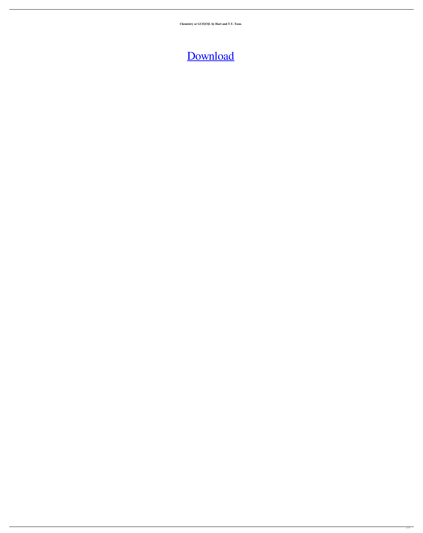**Chemistry or GCE[O]L by Hart and T.Y. Toon.**